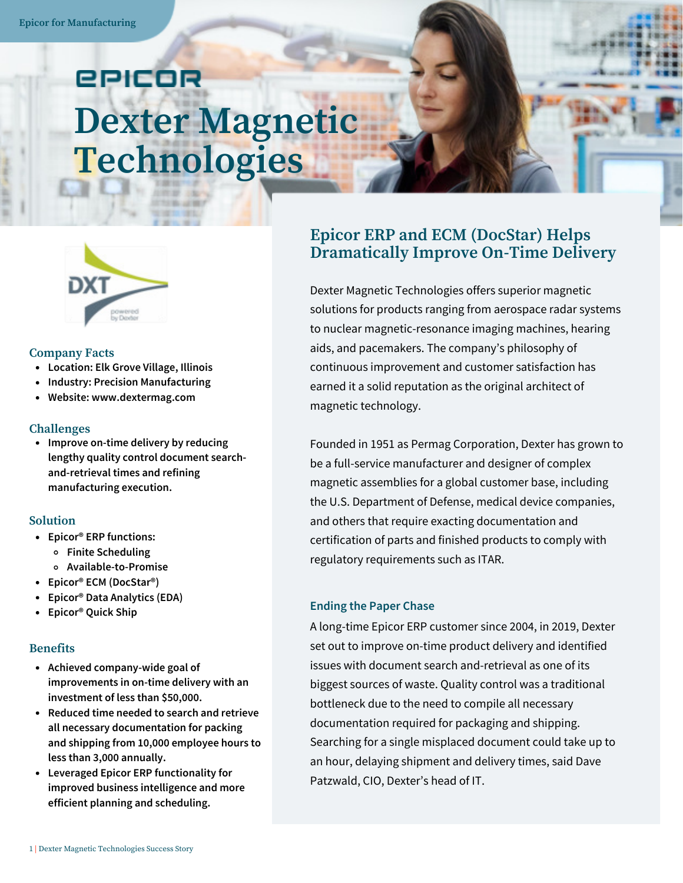# epicor **Dexter Magnetic Technologies**



#### **Company Facts**

- **Location: Elk Grove Village, Illinois**
- $\bullet$ **Industry: Precision Manufacturing**
- **Website: www.dextermag.com**  $\bullet$

#### **Challenges**

**Improve on-time delivery by reducing lengthy quality control document searchand-retrieval times and refining manufacturing execution.**

#### **Solution**

- **Epicor® ERP functions:**
	- **Finite Scheduling**
	- **Available-to-Promise**
- **Epicor® ECM (DocStar®)**
- **Epicor® Data Analytics (EDA)**
- **Epicor® Quick Ship**

#### **Benefits**

- **Achieved company-wide goal of improvements in on-time delivery with an investment of less than \$50,000.**
- **Reduced time needed to search and retrieve all necessary documentation for packing and shipping from 10,000 employee hours to less than 3,000 annually.**
- **Leveraged Epicor ERP functionality for improved business intelligence and more efficient planning and scheduling.**

### **Epicor ERP and ECM (DocStar) Helps Dramatically Improve On-Time Delivery**

Dexter Magnetic Technologies offers superior magnetic solutions for products ranging from aerospace radar systems to nuclear magnetic-resonance imaging machines, hearing aids, and pacemakers. The company's philosophy of continuous improvement and customer satisfaction has earned it a solid reputation as the original architect of magnetic technology.

Founded in 1951 as Permag Corporation, Dexter has grown to be a full-service manufacturer and designer of complex magnetic assemblies for a global customer base, including the U.S. Department of Defense, medical device companies, and others that require exacting documentation and certification of parts and finished products to comply with regulatory requirements such as ITAR.

#### **Ending the Paper Chase**

A long-time Epicor ERP customer since 2004, in 2019, Dexter set out to improve on-time product delivery and identified issues with document search and-retrieval as one of its biggest sources of waste. Quality control was a traditional bottleneck due to the need to compile all necessary documentation required for packaging and shipping. Searching for a single misplaced document could take up to an hour, delaying shipment and delivery times, said Dave Patzwald, CIO, Dexter's head of IT.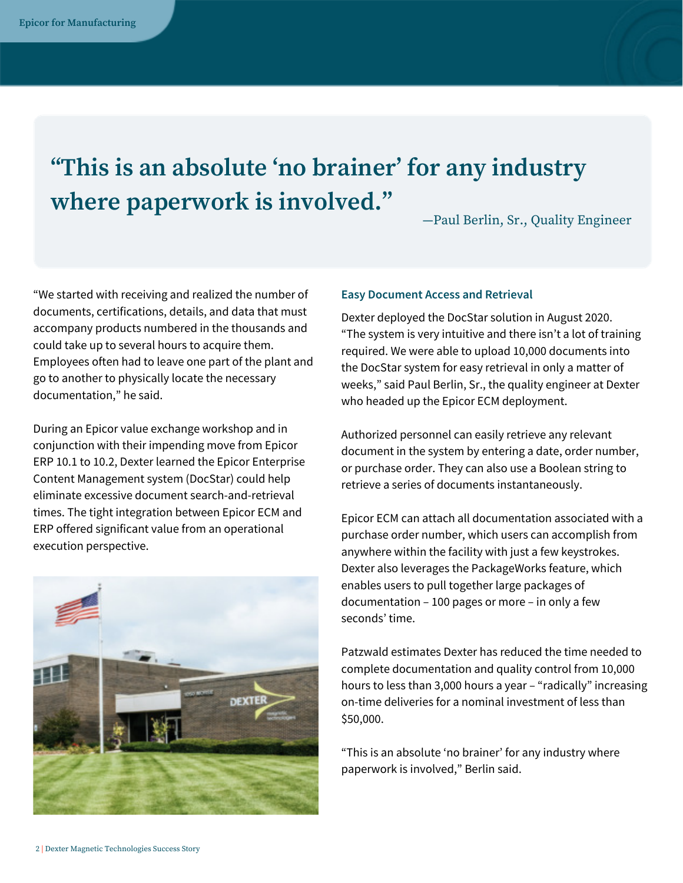## **"This is an absolute ʻno brainer' for any industry where paperwork is involved."**

—Paul Berlin, Sr., Quality Engineer

"We started with receiving and realized the number of documents, certifications, details, and data that must accompany products numbered in the thousands and could take up to several hours to acquire them. Employees often had to leave one part of the plant and go to another to physically locate the necessary documentation," he said.

During an Epicor value exchange workshop and in conjunction with their impending move from Epicor ERP 10.1 to 10.2, Dexter learned the Epicor Enterprise Content Management system (DocStar) could help eliminate excessive document search-and-retrieval times. The tight integration between Epicor ECM and ERP offered significant value from an operational execution perspective.



#### **Easy Document Access and Retrieval**

Dexter deployed the DocStar solution in August 2020. "The system is very intuitive and there isn't a lot of training required. We were able to upload 10,000 documents into the DocStar system for easy retrieval in only a matter of weeks," said Paul Berlin, Sr., the quality engineer at Dexter who headed up the Epicor ECM deployment.

Authorized personnel can easily retrieve any relevant document in the system by entering a date, order number, or purchase order. They can also use a Boolean string to retrieve a series of documents instantaneously.

Epicor ECM can attach all documentation associated with a purchase order number, which users can accomplish from anywhere within the facility with just a few keystrokes. Dexter also leverages the PackageWorks feature, which enables users to pull together large packages of documentation – 100 pages or more – in only a few seconds' time.

Patzwald estimates Dexter has reduced the time needed to complete documentation and quality control from 10,000 hours to less than 3,000 hours a year – "radically" increasing on-time deliveries for a nominal investment of less than \$50,000.

"This is an absolute 'no brainer' for any industry where paperwork is involved," Berlin said.